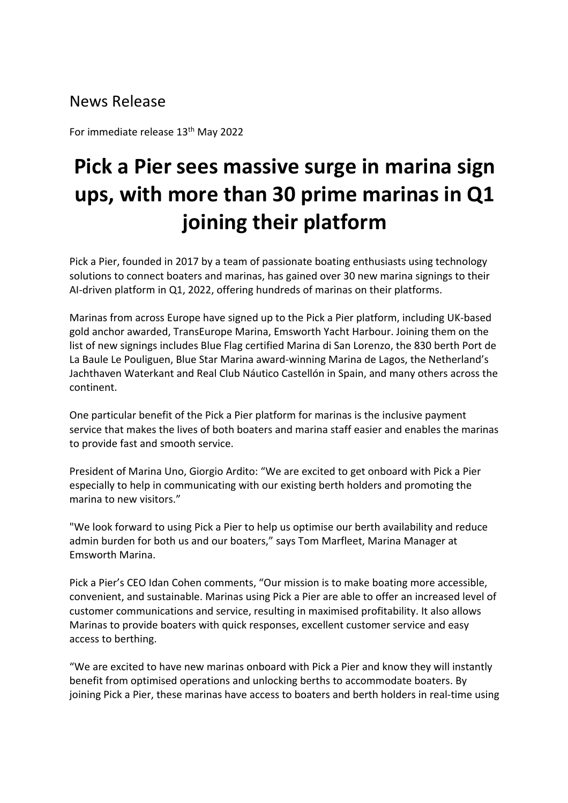# News Release

For immediate release 13<sup>th</sup> May 2022

# **Pick a Pier sees massive surge in marina sign ups, with more than 30 prime marinas in Q1 joining their platform**

Pick a Pier, founded in 2017 by a team of passionate boating enthusiasts using technology solutions to connect boaters and marinas, has gained over 30 new marina signings to their AI-driven platform in Q1, 2022, offering hundreds of marinas on their platforms.

Marinas from across Europe have signed up to the Pick a Pier platform, including UK-based gold anchor awarded, TransEurope Marina, Emsworth Yacht Harbour. Joining them on the list of new signings includes Blue Flag certified Marina di San Lorenzo, the 830 berth Port de La Baule Le Pouliguen, Blue Star Marina award-winning Marina de Lagos, the Netherland's Jachthaven Waterkant and Real Club Náutico Castellón in Spain, and many others across the continent.

One particular benefit of the Pick a Pier platform for marinas is the inclusive payment service that makes the lives of both boaters and marina staff easier and enables the marinas to provide fast and smooth service.

President of Marina Uno, Giorgio Ardito: "We are excited to get onboard with Pick a Pier especially to help in communicating with our existing berth holders and promoting the marina to new visitors."

"We look forward to using Pick a Pier to help us optimise our berth availability and reduce admin burden for both us and our boaters," says Tom Marfleet, Marina Manager at Emsworth Marina.

Pick a Pier's CEO Idan Cohen comments, "Our mission is to make boating more accessible, convenient, and sustainable. Marinas using Pick a Pier are able to offer an increased level of customer communications and service, resulting in maximised profitability. It also allows Marinas to provide boaters with quick responses, excellent customer service and easy access to berthing.

"We are excited to have new marinas onboard with Pick a Pier and know they will instantly benefit from optimised operations and unlocking berths to accommodate boaters. By joining Pick a Pier, these marinas have access to boaters and berth holders in real-time using